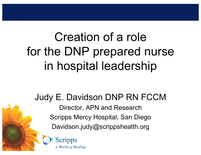# Creation of a role for the DNP prepared nurse in hospital leadership

Judy E. Davidson DNP RN FCCM Director, APN and Research Scripps Mercy Hospital, San Diego Davidson.judy@scrippshealth.org

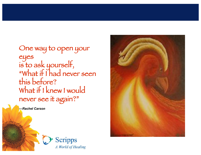One way to open your eyes is to ask yourself, "What if I had never seen this before? What if I knew I would never see it again?"

*—Rachel Carson*



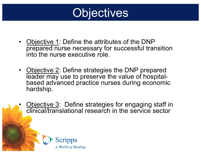

- Objective 1: Define the attributes of the DNP prepared nurse necessary for successful transition into the nurse executive role.
- Objective 2: Define strategies the DNP prepared leader may use to preserve the value of hospitalbased advanced practice nurses during economic hardship.
- Objective 3: Define strategies for engaging staff in clinical/translational research in the service sector

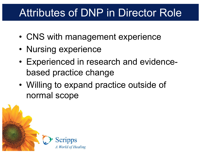#### Attributes of DNP in Director Role

- CNS with management experience
- Nursing experience
- Experienced in research and evidencebased practice change
- Willing to expand practice outside of normal scope

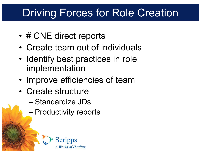#### Driving Forces for Role Creation

- # CNE direct reports
- Create team out of individuals
- Identify best practices in role implementation
- Improve efficiencies of team
- Create structure
	- Standardize JDs
	- Productivity reports

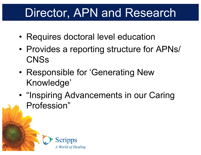### Director, APN and Research

- Requires doctoral level education
- Provides a reporting structure for APNs/ **CNSs**
- Responsible for 'Generating New Knowledge'
- "Inspiring Advancements in our Caring Profession"

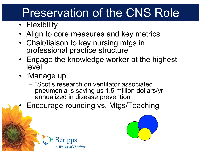# Preservation of the CNS Role

- Flexibility
- Align to core measures and key metrics
- Chair/liaison to key nursing mtgs in professional practice structure
- Engage the knowledge worker at the highest level
- 'Manage up'
	- "Scot's research on ventilator associated pneumonia is saving us 1.5 million dollars/yr annualized in disease prevention"
- Encourage rounding vs. Mtgs/Teaching



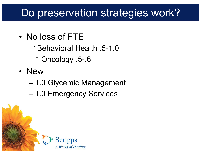#### Do preservation strategies work?

- No loss of FTE
	- Behavioral Health .5-1.0
	- $-$  1 Oncology .5-.6
- New
	- 1.0 Glycemic Management
	- 1.0 Emergency Services

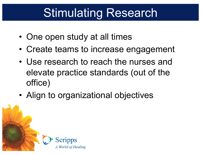# Stimulating Research

- One open study at all times
- Create teams to increase engagement
- Use research to reach the nurses and elevate practice standards (out of the office)
- Align to organizational objectives

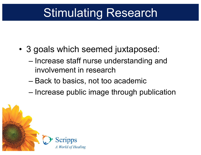# Stimulating Research

- 3 goals which seemed juxtaposed:
	- Increase staff nurse understanding and involvement in research
	- Back to basics, not too academic
	- Increase public image through publication

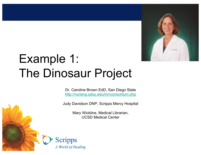

# Example 1: The Dinosaur Project

Dr. Caroline Brown EdD, San Diego State http://nursing.sdsu.edu/inr/consortium.php

Judy Davidson DNP, Scripps Mercy Hospital

Mary Wickline, Medical Librarian, UCSD Medical Center

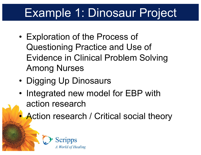# Example 1: Dinosaur Project

- Exploration of the Process of Questioning Practice and Use of Evidence in Clinical Problem Solving Among Nurses
- Digging Up Dinosaurs
- Integrated new model for EBP with action research
	- Action research / Critical social theory

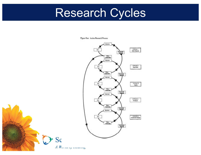# Research Cycles

Figure One: Action Research Process



 $AW$ 

Sc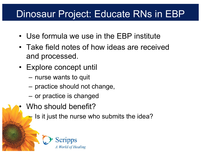#### Dinosaur Project: Educate RNs in EBP

- Use formula we use in the EBP institute
- Take field notes of how ideas are received and processed.
- Explore concept until
	- nurse wants to quit
	- practice should not change,
	- or practice is changed
- Who should benefit?
	- Is it just the nurse who submits the idea?

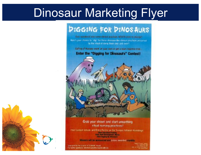### Dinosaur Marketing Flyer

#### **PIGGING FOR PINOS AURS**

first wondered why spare clinical graphices AFI/FR span to example. Here's your change to "dig" for these direction like diment prochois preserved by the nitual of daing them over and over!!

Calling all Nuraes-work an your own or get a team together And... **Enter the "Digging for Dinosaurs" Contest!** 



Grab your shovel and start unearthing ritual nursing practices!

med Cuntest data its and Entry Forms on the Scripps Intranet Housewage Dick Education/Trailers Cick Staff Development: Money **Citch Digging Bp Directours** 

Winners will be announced and proce awarded monthly

Sprengered by the Council of Scidentific Impuny. to fasten sembers, demonstrative Champerbook on

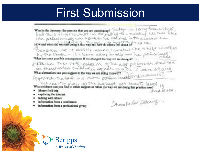#### First Submission

What is the dimension-like practice that you are questioning? Sunday - I'm saying - Use control of what is the dimension-like practice that you are questioning?<br>If not then is to have it is what the other products that the content of the content of the content of the content non-preferencingly who have to be convinct into a control a How and when did we start doing it this way and how do others feel about it?" CO Inc. Because we're mostly women, + theaded ite shift worker by the shake - (I's been easy to slip into "non professional What are some possible consequences if we changed the way we are delay in? +

that's a The salt esteem of the way profession than sen we expect to be trading, excellent to war's I we redisting What alternatives can you suggest to the way we are doing it now???? **What alternatives can you suggest to the way we are doing it now???**<br>Pippino orchiving feads in a more professional for dun osassing?

What evidence can you find to either support or refuse the way we are doing that practice now?

- library field trip
- exploring the intenset
- talking with others
- information from a conference
- information from a professional group

Shanks for Detering

audierca.

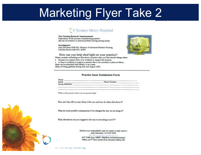#### Marketing Flyer Take 2

#### **Scripps Mercy Hospital**

New Nursing Research Announcements Exploration of the process of questioning practice. and use of evidence in clinical problem solving among nurses.

#### Investigators:

Judy Davidson DNP RN, Director of Advanced Practice Nursing Caroline Brown EdD RN, SDSU



How can you help shed light on your practice? Please consider submitting an idea about a practice issue you feel abould change either.

· because you suspect there is no evidence to support the practice.

· or there is evidence to support a practice that is not currently in place at Marcy. Ideas can be submitted individually or as a team. Ideas are being gathered during July and August 2008

#### **Practice Issue Submission Form**

Name: Phone Number: Email: **Group Members:** 

What is the practice that you are questioning?

How and when fid we start doing it this way and how do others fuel about it?

What are some possible consequences if we changed the way we are doing it?"

What alternatives can you suggest to the way we are doing it now???

Submit your researchable topic by email or snall mail to: Judy Davidson 619-243-6902. -<br><br/> 1977<br> Fifth Ave, MER1 (Mailbox in Administration) Office on 6<sup>th</sup> floor across from elevators Merov SD

 $\frac{1}{2}$   $\frac{1}{2}$   $\frac{1}{2}$   $\frac{1}{2}$   $\frac{1}{2}$   $\frac{1}{2}$   $\frac{1}{2}$   $\frac{1}{2}$   $\frac{1}{2}$   $\frac{1}{2}$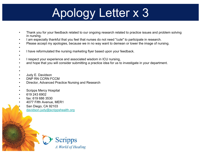# Apology Letter x 3

- Thank you for your feedback related to our ongoing research related to practice issues and problem solving in nursing.
- I am especially thankful that you feel that nurses do not need "cute" to participate in research.
- Please accept my apologies, because we in no way want to demean or lower the image of nursing.
- •
- I have reformulated the nursing marketing flyer based upon your feedback.
- •
- I respect your experience and associated wisdom in ICU nursing,
- and hope that you will consider submitting a practice idea for us to investigate in your department.
- •
- • Judy E. Davidson
- DNP RN CCRN FCCM
- Director, Advanced Practice Nursing and Research
- •
- Scripps Mercy Hospital
- 619 243 6902
- fax: 619 686 3530
- 4077 Fifth Avenue, MER1
	- San Diego, CA 92103 • davidson.judy@scrippshealth.org

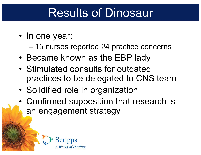### Results of Dinosaur

• In one year:

– 15 nurses reported 24 practice concerns

- Became known as the EBP lady
- Stimulated consults for outdated practices to be delegated to CNS team
- Solidified role in organization
- Confirmed supposition that research is an engagement strategy

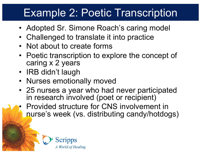#### Example 2: Poetic Transcription

- Adopted Sr. Simone Roach's caring model
- Challenged to translate it into practice
- Not about to create forms
- Poetic transcription to explore the concept of caring x 2 years
- IRB didn't laugh
- Nurses emotionally moved
- 25 nurses a year who had never participated in research involved (poet or recipient)
- Provided structure for CNS involvement in nurse's week (vs. distributing candy/hotdogs)

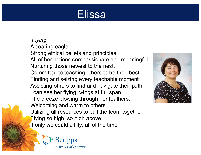#### Elissa

*Flying* A soaring eagle Strong ethical beliefs and principles All of her actions compassionate and meaningful Nurturing those newest to the nest, Committed to teaching others to be their best Finding and seizing every teachable moment Assisting others to find and navigate their path I can see her flying, wings at full span The breeze blowing through her feathers, Welcoming and warm to others Utilizing all resources to pull the team together, Flying so high, so high above If only we could all fly, all of the time.



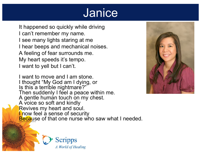#### **Janice**

It happened so quickly while driving I can't remember my name. I see many lights staring at me I hear beeps and mechanical noises. A feeling of fear surrounds me. My heart speeds it's tempo. I want to yell but I can't.

I want to move and I am stone. I thought "My God am I dying, or Is this a terrible nightmare?" Then suddenly I feel a peace within me. A gentle human touch on my chest. A voice so soft and kindly Revives my heart and soul. **I** now feel a sense of security Because of that one nurse who saw what I needed. And with her kindness restored me



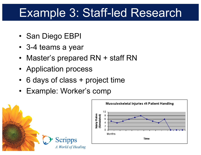### Example 3: Staff-led Research

- San Diego EBPI
- 3-4 teams a year
- Master's prepared RN + staff RN
- Application process
- 6 days of class + project time
- Example: Worker's comp

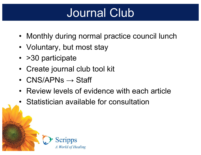# Journal Club

- Monthly during normal practice council lunch
- Voluntary, but most stay
- > 30 participate
- Create journal club tool kit
- $CNS/APNs \rightarrow Staff$
- Review levels of evidence with each article
- Statistician available for consultation

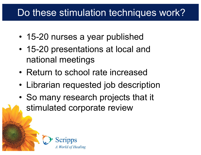#### Do these stimulation techniques work?

- 15-20 nurses a year published
- 15-20 presentations at local and national meetings
- Return to school rate increased
- Librarian requested job description
- So many research projects that it stimulated corporate review